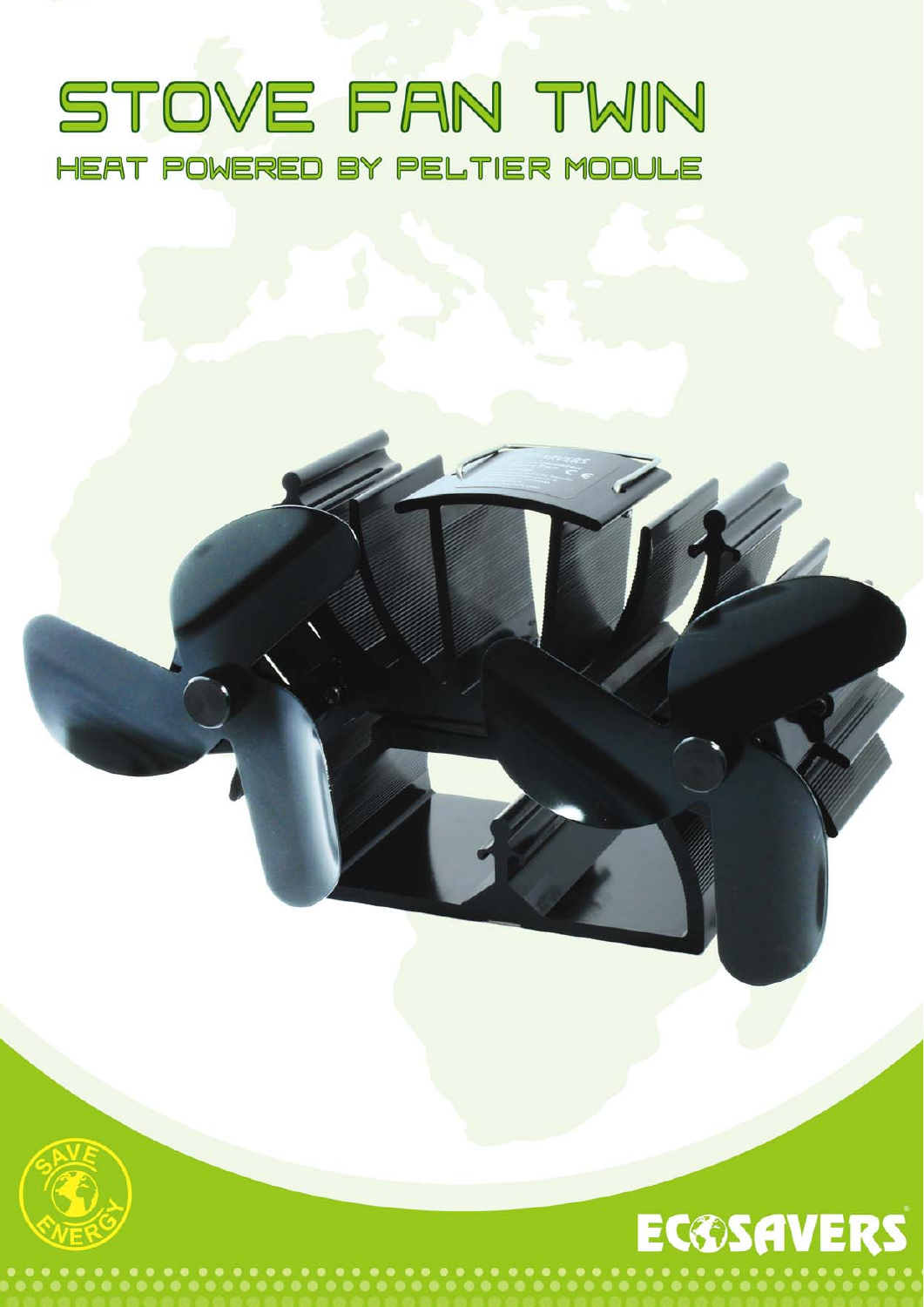### STOVE FAN TWIN HEAT POWERED BY PELTIER MODULE

## **EC®SAVERS**